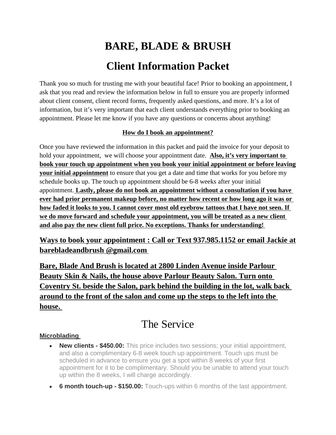# **BARE, BLADE & BRUSH Client Information Packet**

Thank you so much for trusting me with your beautiful face! Prior to booking an appointment, I ask that you read and review the information below in full to ensure you are properly informed about client consent, client record forms, frequently asked questions, and more. It's a lot of information, but it's very important that each client understands everything prior to booking an appointment. Please let me know if you have any questions or concerns about anything!

#### **How do I book an appointment?**

Once you have reviewed the information in this packet and paid the invoice for your deposit to hold your appointment, we will choose your appointment date. **Also, it's very important to book your touch up appointment when you book your initial appointment or before leaving your initial appointment** to ensure that you get a date and time that works for you before my schedule books up. The touch up appointment should be 6-8 weeks after your initial appointment. **Lastly, please do not book an appointment without a consultation if you have ever had prior permanent makeup before, no matter how recent or how long ago it was or how faded it looks to you. I cannot cover most old eyebrow tattoos that I have not seen. If we do move forward and schedule your appointment, you will be treated as a new client and also pay the new client full price. No exceptions. Thanks for understanding!** 

#### **Ways to book your appointment : Call or Text 937.985.1152 or email Jackie at barebladeandbrush @gmail.com**

**Bare, Blade And Brush is located at 2800 Linden Avenue inside Parlour Beauty Skin & Nails, the house above Parlour Beauty Salon. Turn onto Coventry St. beside the Salon, park behind the building in the lot, walk back around to the front of the salon and come up the steps to the left into the house.** 

### The Service

#### **Microblading**

- **New clients \$450.00:** This price includes two sessions; your initial appointment, and also a complimentary 6-8 week touch up appointment. Touch ups must be scheduled in advance to ensure you get a spot within 8 weeks of your first appointment for it to be complimentary. Should you be unable to attend your touch up within the 8 weeks, I will charge accordingly.
- **6 month touch-up \$150.00:** Touch-ups within 6 months of the last appointment.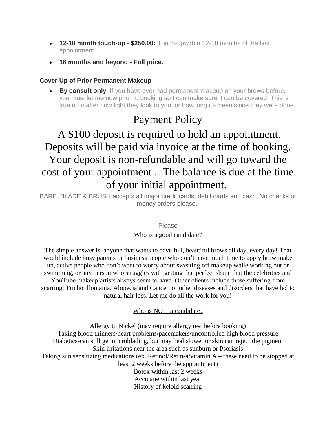- **12-18 month touch-up \$250.00:** Touch-upwithin 12-18 months of the last appointment.
- **18 months and beyond Full price.**

#### **Cover Up of Prior Permanent Makeup**

**By consult only.** If you have ever had permanent makeup on your brows before, you must let me now prior to booking so I can make sure it can be covered. This is true no matter how light they look to you, or how long it's been since they were done.

## Payment Policy

# A \$100 deposit is required to hold an appointment. Deposits will be paid via invoice at the time of booking. Your deposit is non-refundable and will go toward the cost of your appointment . The balance is due at the time of your initial appointment.

BARE, BLADE & BRUSH accepts all major credit cards, debit cards and cash. No checks or money orders please.

#### Please

#### Who is a good candidate?

The simple answer is, anyone that wants to have full, beautiful brows all day, every day! That would include busy parents or business people who don't have much time to apply brow make up, active people who don't want to worry about sweating off makeup while working out or swimming, or any person who struggles with getting that perfect shape that the celebrities and YouTube makeup artists always seem to have. Other clients include those suffering from scarring, Trichotillomania, Alopecia and Cancer, or other diseases and disorders that have led to natural hair loss. Let me do all the work for you!

#### Who is NOT a candidate?

Allergy to Nickel (may require allergy test before booking) Taking blood thinners/heart problems/pacemakers/uncontrolled high blood pressure Diabetics-can still get microblading, but may heal slower or skin can reject the pigment Skin irritations near the area such as sunburn or Psoriasis Taking sun sensitizing medications (ex. Retinol/Retin-a/vitamin A – these need to be stopped at least 2 weeks before the appointment) Botox within last 2 weeks Accutane within last year History of keloid scarring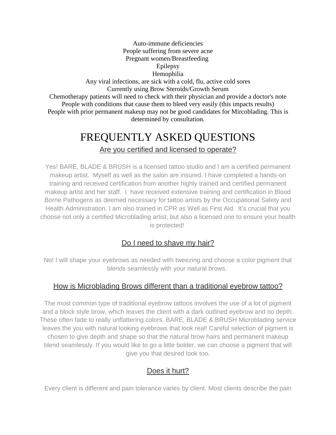Auto-immune deficiencies People suffering from severe acne Pregnant women/Breastfeeding Epilepsy Hemophilia Any viral infections, are sick with a cold, flu, active cold sores Currently using Brow Steroids/Growth Serum Chemotherapy patients will need to check with their physician and provide a doctor's note People with conditions that cause them to bleed very easily (this impacts results) People with prior permanent makeup may not be good candidates for Mircoblading. This is determined by consultation.

### FREQUENTLY ASKED QUESTIONS Are you certified and licensed to operate?

Yes! BARE, BLADE & BRUSH is a licensed tattoo studio and I am a certified permanent makeup artist. Myself as well as the salon are insured. I have completed a hands-on training and received certification from another highly trained and certified permanent makeup artist and her staff. I have received extensive training and certification in Blood Borne Pathogens as deemed necessary for tattoo artists by the Occupational Safety and Health Administration. I am also trained in CPR as Well as First Aid. It's crucial that you choose not only a certified Microblading artist, but also a licensed one to ensure your health is protected!

#### Do I need to shave my hair?

No! I will shape your eyebrows as needed with tweezing and choose a color pigment that blends seamlessly with your natural brows.

#### How is Microblading Brows different than a traditional eyebrow tattoo?

The most common type of traditional eyebrow tattoos involves the use of a lot of pigment and a block style brow, which leaves the client with a dark outlined eyebrow and no depth. These often fade to really unflattering colors. BARE, BLADE & BRUSH Microblading service leaves the you with natural looking eyebrows that look real! Careful selection of pigment is chosen to give depth and shape so that the natural brow hairs and permanent makeup blend seamlessly. If you would like to go a little bolder, we can choose a pigment that will give you that desired look too.

#### Does it hurt?

Every client is different and pain tolerance varies by client. Most clients describe the pain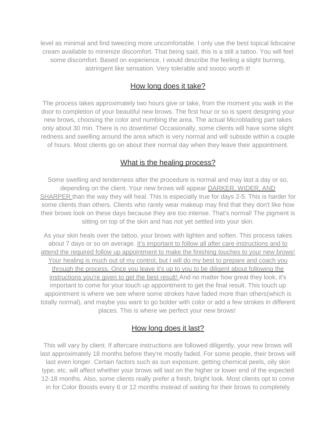level as minimal and find tweezing more uncomfortable. I only use the best topical lidocaine cream available to minimize discomfort. That being said, this is a still a tattoo. You will feel some discomfort. Based on experience, I would describe the feeling a slight burning, astringent like sensation. Very tolerable and soooo worth it!

#### How long does it take?

The process takes approximately two hours give or take, from the moment you walk in the door to completion of your beautiful new brows. The first hour or so is spent designing your new brows, choosing the color and numbing the area. The actual Microblading part takes only about 30 min. There is no downtime! Occasionally, some clients will have some slight redness and swelling around the area which is very normal and will subside within a couple of hours. Most clients go on about their normal day when they leave their appointment.

#### What is the healing process?

Some swelling and tenderness after the procedure is normal and may last a day or so, depending on the client. Your new brows will appear DARKER, WIDER, AND SHARPER than the way they will heal. This is especially true for days 2-5. This is harder for some clients than others. Clients who rarely wear makeup may find that they don't like how their brows look on these days because they are too intense. That's normal! The pigment is sitting on top of the skin and has not yet settled into your skin.

As your skin heals over the tattoo, your brows with lighten and soften. This process takes about 7 days or so on average. It's important to follow all after care instructions and to attend the required follow up appointment to make the finishing touches to your new brows! Your healing is much out of my control, but I will do my best to prepare and coach you through the process. Once you leave it's up to you to be diligent about following the instructions you're given to get the best result! And no matter how great they look, it's important to come for your touch up appointment to get the final result. This touch up appointment is where we see where some strokes have faded more than others(which is totally normal), and maybe you want to go bolder with color or add a few strokes in different places. This is where we perfect your new brows!

#### How long does it last?

This will vary by client. If aftercare instructions are followed diligently, your new brows will last approximately 18 months before they're mostly faded. For some people, their brows will last even longer. Certain factors such as sun exposure, getting chemical peels, oily skin type, etc. will affect whether your brows will last on the higher or lower end of the expected 12-18 months. Also, some clients really prefer a fresh, bright look. Most clients opt to come in for Color Boosts every 6 or 12 months instead of waiting for their brows to completely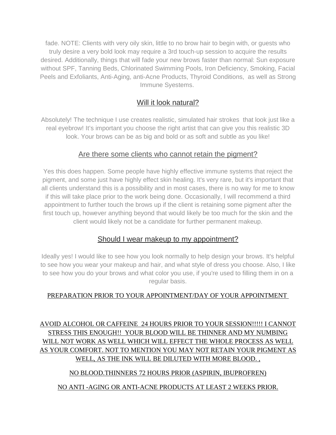fade. NOTE: Clients with very oily skin, little to no brow hair to begin with, or guests who truly desire a very bold look may require a 3rd touch-up session to acquire the results desired. Additionally, things that will fade your new brows faster than normal: Sun exposure without SPF, Tanning Beds, Chlorinated Swimming Pools, Iron Deficiency, Smoking, Facial Peels and Exfoliants, Anti-Aging, anti-Acne Products, Thyroid Conditions, as well as Strong Immune Syestems.

#### Will it look natural?

Absolutely! The technique I use creates realistic, simulated hair strokes that look just like a real eyebrow! It's important you choose the right artist that can give you this realistic 3D look. Your brows can be as big and bold or as soft and subtle as you like!

#### Are there some clients who cannot retain the pigment?

Yes this does happen. Some people have highly effective immune systems that reject the pigment, and some just have highly effect skin healing. It's very rare, but it's important that all clients understand this is a possibility and in most cases, there is no way for me to know if this will take place prior to the work being done. Occasionally, I will recommend a third appointment to further touch the brows up if the client is retaining some pigment after the first touch up, however anything beyond that would likely be too much for the skin and the client would likely not be a candidate for further permanent makeup.

#### Should I wear makeup to my appointment?

Ideally yes! I would like to see how you look normally to help design your brows. It's helpful to see how you wear your makeup and hair, and what style of dress you choose. Also, I like to see how you do your brows and what color you use, if you're used to filling them in on a regular basis.

#### PREPARATION PRIOR TO YOUR APPOINTMENT/DAY OF YOUR APPOINTMENT

#### AVOID ALCOHOL OR CAFFEINE 24 HOURS PRIOR TO YOUR SESSION!!!!! I CANNOT STRESS THIS ENOUGH!! YOUR BLOOD WILL BE THINNER AND MY NUMBING WILL NOT WORK AS WELL WHICH WILL EFFECT THE WHOLE PROCESS AS WELL AS YOUR COMFORT. NOT TO MENTION YOU MAY NOT RETAIN YOUR PIGMENT AS WELL, AS THE INK WILL BE DILUTED WITH MORE BLOOD. ,

#### NO BLOOD.THINNERS 72 HOURS PRIOR (ASPIRIN, IBUPROFREN)

#### NO ANTI -AGING OR ANTI-ACNE PRODUCTS AT LEAST 2 WEEKS PRIOR.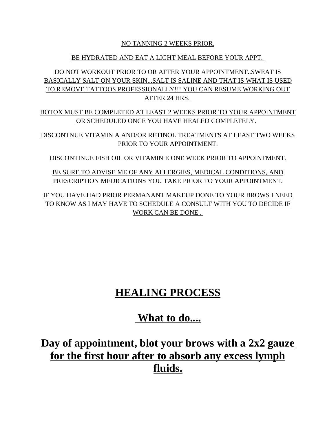#### NO TANNING 2 WEEKS PRIOR.

#### BE HYDRATED AND EAT A LIGHT MEAL BEFORE YOUR APPT.

DO NOT WORKOUT PRIOR TO OR AFTER YOUR APPOINTMENT..SWEAT IS BASICALLY SALT ON YOUR SKIN...SALT IS SALINE AND THAT IS WHAT IS USED TO REMOVE TATTOOS PROFESSIONALLY!!! YOU CAN RESUME WORKING OUT AFTER 24 HRS.

BOTOX MUST BE COMPLETED AT LEAST 2 WEEKS PRIOR TO YOUR APPOINTMENT OR SCHEDULED ONCE YOU HAVE HEALED COMPLETELY.

DISCONTNUE VITAMIN A AND/OR RETINOL TREATMENTS AT LEAST TWO WEEKS PRIOR TO YOUR APPOINTMENT.

DISCONTINUE FISH OIL OR VITAMIN E ONE WEEK PRIOR TO APPOINTMENT.

BE SURE TO ADVISE ME OF ANY ALLERGIES, MEDICAL CONDITIONS, AND PRESCRIPTION MEDICATIONS YOU TAKE PRIOR TO YOUR APPOINTMENT.

IF YOU HAVE HAD PRIOR PERMANANT MAKEUP DONE TO YOUR BROWS I NEED TO KNOW AS I MAY HAVE TO SCHEDULE A CONSULT WITH YOU TO DECIDE IF WORK CAN BE DONE .

# **HEALING PROCESS**

### **What to do....**

**Day of appointment, blot your brows with a 2x2 gauze for the first hour after to absorb any excess lymph fluids.**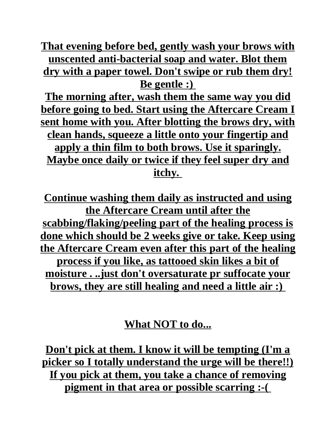**That evening before bed, gently wash your brows with unscented anti-bacterial soap and water. Blot them dry with a paper towel. Don't swipe or rub them dry! Be gentle :)** 

**The morning after, wash them the same way you did before going to bed. Start using the Aftercare Cream I sent home with you. After blotting the brows dry, with clean hands, squeeze a little onto your fingertip and apply a thin film to both brows. Use it sparingly. Maybe once daily or twice if they feel super dry and itchy.** 

**Continue washing them daily as instructed and using the Aftercare Cream until after the scabbing/flaking/peeling part of the healing process is done which should be 2 weeks give or take. Keep using the Aftercare Cream even after this part of the healing process if you like, as tattooed skin likes a bit of moisture . ..just don't oversaturate pr suffocate your brows, they are still healing and need a little air :)** 

### **What NOT to do...**

**Don't pick at them. I know it will be tempting (I'm a picker so I totally understand the urge will be there!!) If you pick at them, you take a chance of removing pigment in that area or possible scarring :-(**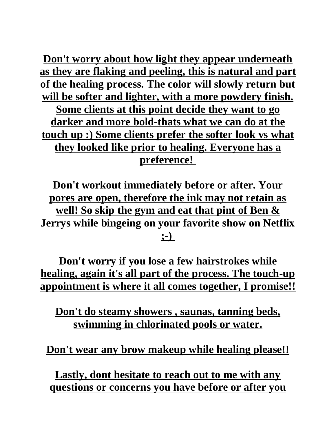**Don't worry about how light they appear underneath as they are flaking and peeling, this is natural and part of the healing process. The color will slowly return but will be softer and lighter, with a more powdery finish. Some clients at this point decide they want to go darker and more bold-thats what we can do at the touch up :) Some clients prefer the softer look vs what they looked like prior to healing. Everyone has a preference!** 

**Don't workout immediately before or after. Your pores are open, therefore the ink may not retain as well! So skip the gym and eat that pint of Ben & Jerrys while bingeing on your favorite show on Netflix ;-)** 

**Don't worry if you lose a few hairstrokes while healing, again it's all part of the process. The touch-up appointment is where it all comes together, I promise!!**

**Don't do steamy showers , saunas, tanning beds, swimming in chlorinated pools or water.**

**Don't wear any brow makeup while healing please!!**

**Lastly, dont hesitate to reach out to me with any questions or concerns you have before or after you**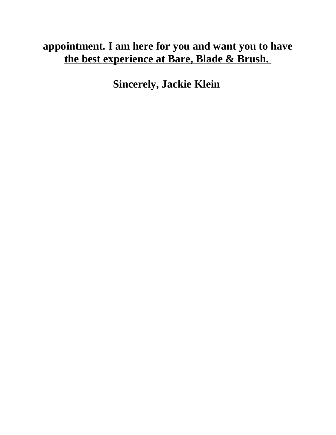# **appointment. I am here for you and want you to have the best experience at Bare, Blade & Brush.**

**Sincerely, Jackie Klein**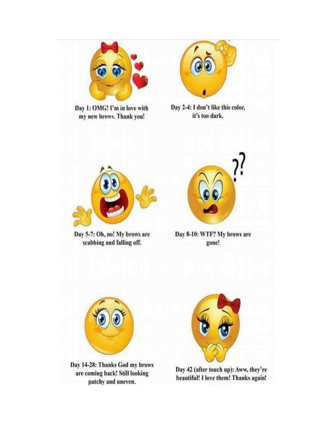

Day 1: OMG! I'm in love with my new brows. Thank you!



Day 2-4: I don't like this color, it's too dark.



Day 5-7: Oh, no! My brows are scabbing and falling off.



Day 8-10: WTF? My brows are gone!



Day 14-28: Thanks God my brows are coming back! Still looking patchy and uneven.



Day 42 (after touch up): Aww, they're beautiful! I love them! Thanks again!